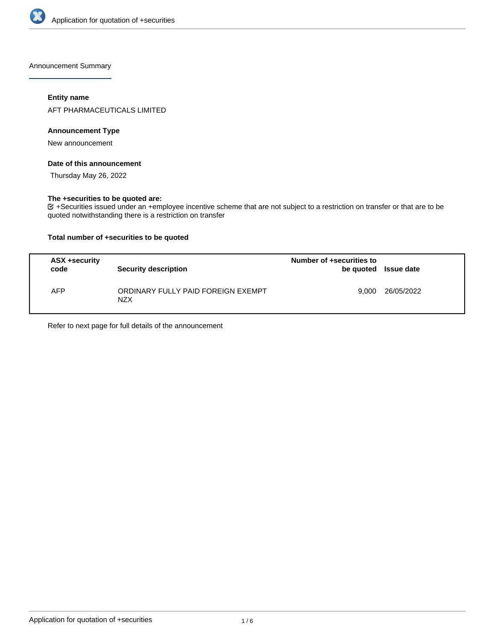

Announcement Summary

# **Entity name**

AFT PHARMACEUTICALS LIMITED

#### **Announcement Type**

New announcement

## **Date of this announcement**

Thursday May 26, 2022

#### **The +securities to be quoted are:**

 $G$  +Securities issued under an +employee incentive scheme that are not subject to a restriction on transfer or that are to be quoted notwithstanding there is a restriction on transfer

# **Total number of +securities to be quoted**

| ASX +security<br>code | <b>Security description</b>                      | Number of +securities to<br>be quoted | Issue date |
|-----------------------|--------------------------------------------------|---------------------------------------|------------|
| AFP                   | ORDINARY FULLY PAID FOREIGN EXEMPT<br><b>NZX</b> | 9.000                                 | 26/05/2022 |

Refer to next page for full details of the announcement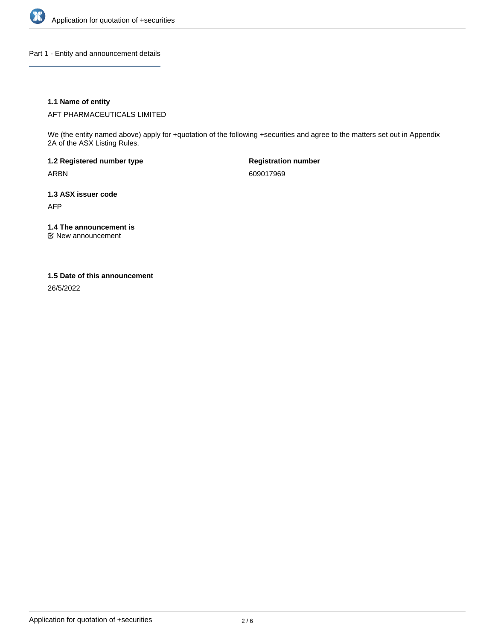

Part 1 - Entity and announcement details

# **1.1 Name of entity**

AFT PHARMACEUTICALS LIMITED

We (the entity named above) apply for +quotation of the following +securities and agree to the matters set out in Appendix 2A of the ASX Listing Rules.

**1.2 Registered number type** ARBN

**Registration number** 609017969

**1.3 ASX issuer code** AFP

**1.4 The announcement is**

New announcement

#### **1.5 Date of this announcement**

26/5/2022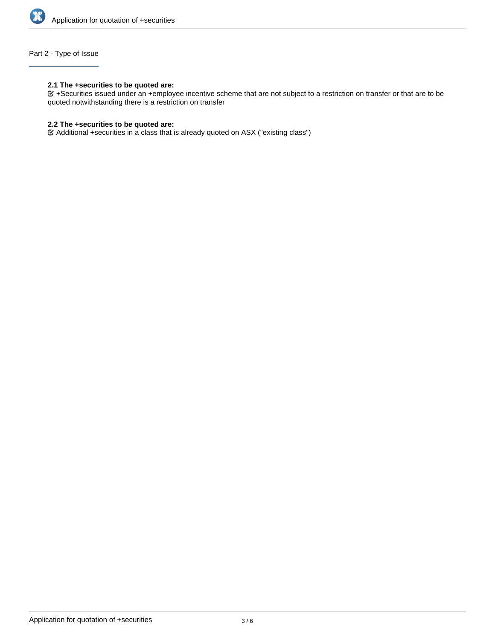

# Part 2 - Type of Issue

# **2.1 The +securities to be quoted are:**

+Securities issued under an +employee incentive scheme that are not subject to a restriction on transfer or that are to be quoted notwithstanding there is a restriction on transfer

# **2.2 The +securities to be quoted are:**

Additional +securities in a class that is already quoted on ASX ("existing class")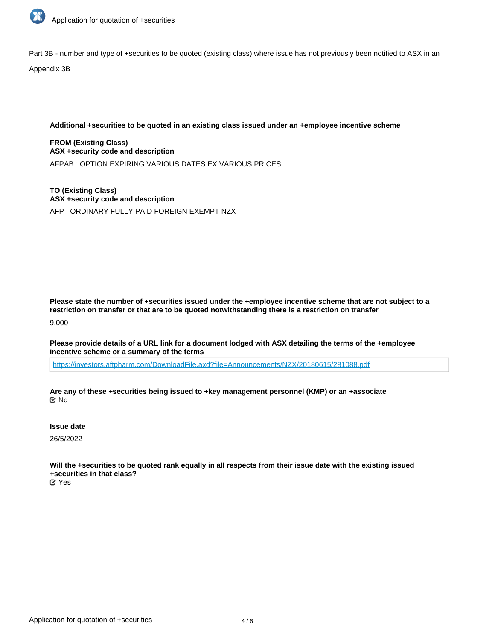

Part 3B - number and type of +securities to be quoted (existing class) where issue has not previously been notified to ASX in an

Appendix 3B

**Additional +securities to be quoted in an existing class issued under an +employee incentive scheme**

**FROM (Existing Class) ASX +security code and description** AFPAB : OPTION EXPIRING VARIOUS DATES EX VARIOUS PRICES

**TO (Existing Class) ASX +security code and description** AFP : ORDINARY FULLY PAID FOREIGN EXEMPT NZX

**Please state the number of +securities issued under the +employee incentive scheme that are not subject to a restriction on transfer or that are to be quoted notwithstanding there is a restriction on transfer**

9,000

**Please provide details of a URL link for a document lodged with ASX detailing the terms of the +employee incentive scheme or a summary of the terms**

<https://investors.aftpharm.com/DownloadFile.axd?file=Announcements/NZX/20180615/281088.pdf>

**Are any of these +securities being issued to +key management personnel (KMP) or an +associate** No

**Issue date**

26/5/2022

**Will the +securities to be quoted rank equally in all respects from their issue date with the existing issued +securities in that class?**

Yes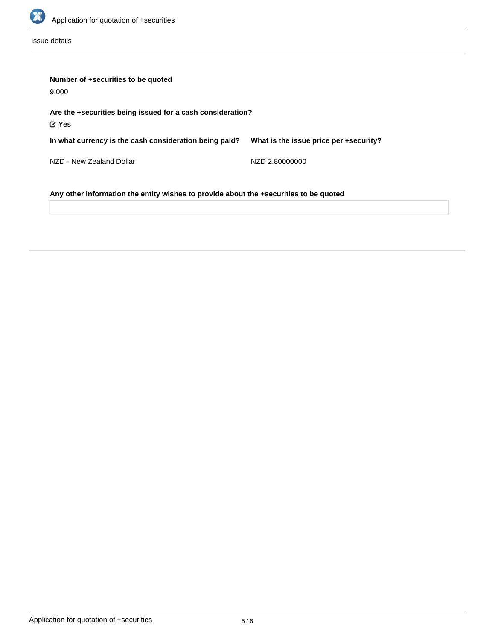

Issue details

| Number of +securities to be quoted<br>9,000                                     |                                        |  |  |  |
|---------------------------------------------------------------------------------|----------------------------------------|--|--|--|
| Are the +securities being issued for a cash consideration?<br>$\mathfrak C$ Yes |                                        |  |  |  |
| In what currency is the cash consideration being paid?                          | What is the issue price per +security? |  |  |  |
| NZD - New Zealand Dollar                                                        | NZD 2.80000000                         |  |  |  |

**Any other information the entity wishes to provide about the +securities to be quoted**